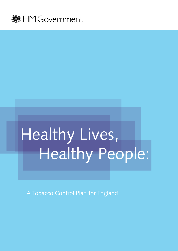

# Healthy Lives, Healthy People:

A Tobacco Control Plan for England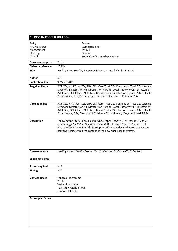#### **DH INFORMATION READER BOX**

| Policy                  | Estates                                                                                                                                                                                                                                                                                                                                       |  |  |
|-------------------------|-----------------------------------------------------------------------------------------------------------------------------------------------------------------------------------------------------------------------------------------------------------------------------------------------------------------------------------------------|--|--|
| HR/Workforce            | Commissioning                                                                                                                                                                                                                                                                                                                                 |  |  |
| Management              | IM & T                                                                                                                                                                                                                                                                                                                                        |  |  |
| Planning                | Finance                                                                                                                                                                                                                                                                                                                                       |  |  |
| Clinical                | Social Care/Partnership Working                                                                                                                                                                                                                                                                                                               |  |  |
| Document purpose        | Policy                                                                                                                                                                                                                                                                                                                                        |  |  |
| Gateway reference       | 15513                                                                                                                                                                                                                                                                                                                                         |  |  |
| <b>Title</b>            | Healthy Lives, Healthy People: A Tobacco Control Plan for England                                                                                                                                                                                                                                                                             |  |  |
| Author                  | DH                                                                                                                                                                                                                                                                                                                                            |  |  |
| <b>Publication date</b> | 9 March 2011                                                                                                                                                                                                                                                                                                                                  |  |  |
| <b>Target audience</b>  | PCT CEs, NHS Trust CEs, SHA CEs, Care Trust CEs, Foundation Trust CEs, Medical<br>Directors, Directors of PH, Directors of Nursing, Local Authority CEs, Directors of<br>Adult SSs, PCT Chairs, NHS Trust Board Chairs, Directors of Finance, Allied Health<br>Professionals, GPs, Communications Leads, Directors of Children's SSs          |  |  |
| <b>Circulation list</b> | PCT CEs, NHS Trust CEs, SHA CEs, Care Trust CEs, Foundation Trust CEs, Medical<br>Directors, Directors of PH, Directors of Nursing, Local Authority CEs, Directors of<br>Adult SSs, PCT Chairs, NHS Trust Board Chairs, Directors of Finance, Allied Health<br>Professionals, GPs, Directors of Children's SSs, Voluntary Organisations/NDPBs |  |  |
| Description             | Following the 2010 Public Health White Paper Healthy Lives, Healthy People:<br>Our Strategy for Public Health in England, the Tobacco Control Plan sets out<br>what the Government will do to support efforts to reduce tobacco use over the<br>next five years, within the context of the new public health system.                          |  |  |
| Cross-reference         | Healthy Lives, Healthy People: Our Strategy for Public Health in England                                                                                                                                                                                                                                                                      |  |  |
| Superseded docs         |                                                                                                                                                                                                                                                                                                                                               |  |  |
| <b>Action required</b>  | N/A                                                                                                                                                                                                                                                                                                                                           |  |  |
| Timing                  | N/A                                                                                                                                                                                                                                                                                                                                           |  |  |
| <b>Contact details</b>  | Tobacco Programme<br>7th Floor<br><b>Wellington House</b><br>133-155 Waterloo Road<br>London SE1 8UG                                                                                                                                                                                                                                          |  |  |
| For recipient's use     |                                                                                                                                                                                                                                                                                                                                               |  |  |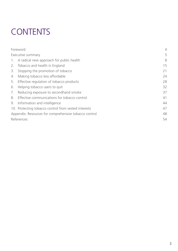# CONTENTS

|                                                       | Foreword                                             | $\overline{4}$ |
|-------------------------------------------------------|------------------------------------------------------|----------------|
| Executive summary                                     |                                                      |                |
|                                                       | 1. A radical new approach for public health          | 8              |
| 2.                                                    | Tobacco and health in England                        | 15             |
| 3.                                                    | Stopping the promotion of tobacco                    | 21             |
| 4.                                                    | Making tobacco less affordable                       | 24             |
| 5.                                                    | Effective regulation of tobacco products             | 28             |
| 6.                                                    | Helping tobacco users to quit                        | 32             |
| 7.                                                    | Reducing exposure to secondhand smoke                | 37             |
|                                                       | 8. Effective communications for tobacco control      | 41             |
| 9.                                                    | Information and intelligence                         | 44             |
|                                                       | 10. Protecting tobacco control from vested interests | 47             |
| Appendix: Resources for comprehensive tobacco control |                                                      | 48             |
| References                                            |                                                      |                |
|                                                       |                                                      |                |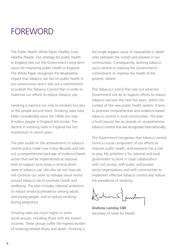# **FOREWORD**

The Public Health White Paper *Healthy Lives, Healthy People: Our strategy for public health in England* sets out the Government's long-term vision for improving public health in England. The White Paper recognises the devastating impact that tobacco use has on public health in our communities and it sets out a commitment to publish this Tobacco Control Plan in order to maximise our efforts to reduce tobacco use.

Smoking is harmful not only to smokers but also to the people around them. Smoking rates have fallen considerably since the 1960s but over 8 million people in England still smoke. The decline in smoking rates in England has lost momentum in recent years.

The plan builds on the achievements in tobacco control policy made over many decades and sets out a comprehensive package of evidence-based action that will be implemented at national level to support local areas in driving down rates of tobacco use. We also set out how we will continue our work to reshape social norms around tobacco use to promote health and wellbeing. The plan includes national ambitions to reduce smoking prevalence among adults and young people, and to reduce smoking during pregnancy.

Smoking rates are much higher in some social groups, including those with the lowest incomes. These groups suffer the highest burden of smoking-related illness and death. Smoking is

the single biggest cause of inequalities in death rates between the richest and poorest in our communities. Consequently, tackling tobacco use is central to realising the Government's commitment to improve the health of the poorest, fastest.

This Tobacco Control Plan sets out what the Government will do to support efforts to reduce tobacco use over the next five years, within the context of the new public health system. It aims to promote comprehensive and evidence-based tobacco control in local communities. The plan is built around the six strands of comprehensive tobacco control that are recognised internationally.

The Government recognises that tobacco control forms a crucial component of our efforts to improve public health, and everyone has a role to play. My ambition is for national and local government to work in close collaboration with civil society, with public and private sector organisations and with communities to implement effective tobacco control and reduce the prevalence of smoking.

**Andrew Lansley CBE** Secretary of State for Health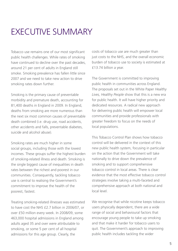# Executive Summary

Tobacco use remains one of our most significant public health challenges. While rates of smoking have continued to decline over the past decades, around 21 per cent of adults in England still smoke. Smoking prevalence has fallen little since 2007 and we need to take new action to drive smoking rates down further.

Smoking is the primary cause of preventable morbidity and premature death, accounting for 81,400 deaths in England in 2009. In England, deaths from smoking are more numerous than the next six most common causes of preventable death combined (i.e. drug use, road accidents, other accidents and falls, preventable diabetes, suicide and alcohol abuse).

Smoking rates are much higher in some social groups, including those with the lowest incomes. These groups suffer the highest burden of smoking-related illness and death. Smoking is the single biggest cause of inequalities in death rates between the richest and poorest in our communities. Consequently, tackling tobacco use is central to realising the Government's commitment to improve the health of the poorest, fastest.

Treating smoking-related illnesses was estimated to have cost the NHS £2.7 billion in 2006/07, or over £50 million every week. In 2008/09, some 463,000 hospital admissions in England among adults aged 35 and over were attributable to smoking, or some 5 per cent of all hospital admissions for this age group. Clearly, the

costs of tobacco use are much greater than just costs to the NHS, and the overall economic burden of tobacco use to society is estimated at £13.74 billion a year.

The Government is committed to improving public health in communities across England. The proposals set out in the White Paper *Healthy Lives, Healthy People* show that this is a new era for public health. It will have higher priority and dedicated resources. A radical new approach for delivering public health will empower local communities and provide professionals with greater freedom to focus on the needs of local populations.

This Tobacco Control Plan shows how tobacco control will be delivered in the context of this new public health system, focusing in particular on the action that the Government will take nationally to drive down the prevalence of smoking and to support comprehensive tobacco control in local areas. There is clear evidence that the most effective tobacco control strategies involve taking a multi-faceted and comprehensive approach at both national and local level.

We recognise that while nicotine keeps tobacco users physically dependent, there are a wide range of social and behavioural factors that encourage young people to take up smoking and that make it harder for tobacco users to quit. The Government's approach to improving public health includes tackling the wider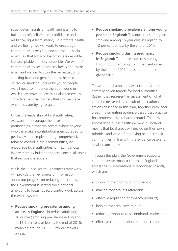social determinants of health and it aims to build people's self-esteem, confidence and resilience, right from infancy. To promote health and wellbeing, we will work to encourage communities across England to reshape social norms, so that tobacco becomes less desirable, less acceptable and less accessible. We want all communities to see a tobacco-free world as the norm and we aim to stop the perpetuation of smoking from one generation to the next. To reduce smoking uptake by young people, we all need to influence the adult world in which they grow up. We must also remove the considerable social barriers that smokers face when they are trying to quit.

Under the leadership of local authorities, we want to encourage the development of partnerships in tobacco control where anyone who can make a contribution is encouraged to get involved. In implementing comprehensive tobacco control in their communities, we encourage local authorities to maximise local involvement by building tobacco control alliances that include civil society.

While the Public Health Outcomes Framework will provide the key source of information about our progress on reducing tobacco use, the Government is setting three national ambitions to focus tobacco control work across the whole system:

• **Reduce smoking prevalence among adults in England:** To reduce adult (aged 18 or over) smoking prevalence in England to 18.5 per cent or less by the end of 2015, meaning around 210,000 fewer smokers a year.

- **Reduce smoking prevalence among young people in England:** To reduce rates of regular smoking among 15 year olds in England to 12 per cent or less by the end of 2015.
- **Reduce smoking during pregnancy in England:** To reduce rates of smoking throughout pregnancy to 11 per cent or less by the end of 2015 (measured at time of giving birth).

These national ambitions will not translate into centrally driven targets for local authorities. Rather, they represent an assessment of what could be delivered as a result of the national actions described in this plan, together with local areas implementing evidence-based best practice for comprehensive tobacco control. The new approach to public health delivery in England means that local areas will decide on their own priorities and ways of improving health in their communities, in line with the evidence base and local circumstances.

Through this plan, the Government supports comprehensive tobacco control in England across the six internationally recognised strands, which are:

- stopping the promotion of tobacco;
- making tobacco less affordable;
- effective regulation of tobacco products;
- helping tobacco users to quit;
- reducing exposure to secondhand smoke; and
- effective communications for tobacco control.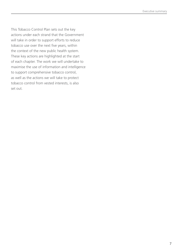This Tobacco Control Plan sets out the key actions under each strand that the Government will take in order to support efforts to reduce tobacco use over the next five years, within the context of the new public health system. These key actions are highlighted at the start of each chapter. The work we will undertake to maximise the use of information and intelligence to support comprehensive tobacco control, as well as the actions we will take to protect tobacco control from vested interests, is also set out.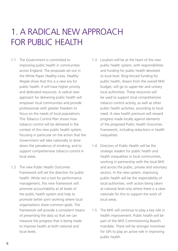# 1. A radical new approach FOR PUBLIC HEALTH

- 1.1 The Government is committed to improving public health in communities across England. The proposals set out in the White Paper *Healthy Lives, Healthy People* show that this is a new era for public health. It will have higher priority and dedicated resources. A radical new approach for delivering public health will empower local communities and provide professionals with greater freedom to focus on the needs of local populations. This Tobacco Control Plan shows how tobacco control will be delivered in the context of this new public health system, focusing in particular on the action that the Government will take nationally to drive down the prevalence of smoking, and to support comprehensive tobacco control in local areas.
- 1.2 The new Public Health Outcomes Framework will set the direction for public health. While not a tool for performance management, this new framework will promote accountability at all levels of the public health system and help to promote better joint working where local organisations share common goals. The framework will provide a consistent means of presenting the data so that we can measure the progress that is being made to improve health at both national and local levels.
- 1.3 Localism will be at the heart of the new public health system, with responsibilities and funding for public health devolved to local level. Ring-fenced funding for public health, drawn from the overall NHS budget, will go to upper-tier and unitary local authorities. These resources will be used to support local comprehensive tobacco control activity, as well as other public health activities, according to local need. A new health premium will reward progress made locally against elements of the proposed Public Health Outcomes Framework, including reductions in health inequalities.
- 1.4 Directors of Public Health will be the strategic leaders for public health and health inequalities in local communities, working in partnership with the local NHS and across the public, private and voluntary sectors. In the new system, improving public health will be the responsibility of local authorities, with action being taken at national level only where there is a clear rationale for this to support the work of local areas.
- 1.5 The NHS will continue to play a key role in health improvement. Public health will be part of the NHS Commissioning Board's mandate. There will be stronger incentives for GPs to play an active role in improving public health.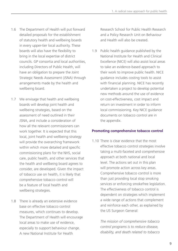- 1.6 The Department of Health will put forward detailed proposals for the establishment of statutory health and wellbeing boards in every upper-tier local authority. These boards will also have the flexibility to bring in the local expertise of district councils. GP consortia and local authorities, including Directors of Public Health, will have an obligation to prepare the Joint Strategic Needs Assessment (JSNA) through arrangements made by the health and wellbeing board.
- 1.7 We envisage that health and wellbeing boards will develop joint health and wellbeing strategies, based on the assessment of need outlined in their JSNA, and include a consideration of how all the relevant commissioners can work together. It is expected that this local, joint health and wellbeing strategy will provide the overarching framework within which more detailed and specific commissioning plans for the NHS, social care, public health, and other services that the health and wellbeing board agrees to consider, are developed. Given the impact of tobacco use on health, it is likely that comprehensive tobacco control will be a feature of local health and wellbeing strategies.
- 1.8 There is already an extensive evidence base on effective tobacco control measures, which continues to develop. The Department of Health will encourage local areas to make use of evidence, especially to support behaviour change. A new National Institute for Health

Research School for Public Health Research and a Policy Research Unit on Behaviour and Health will also be created.

1.9 Public health guidance published by the National Institute for Health and Clinical Excellence (NICE) will also assist local areas to take an evidence-based approach to their work to improve public health. NICE guidance includes costing tools to assist with financial planning. NICE has recently undertaken a project to develop potential new methods around the use of evidence on cost-effectiveness, cost impact and return on investment in order to inform local commissioning. Key NICE guidance documents on tobacco control are in the appendix.

# **Promoting comprehensive tobacco control**

1.10 There is clear evidence that the most effective tobacco control strategies involve taking a multi-faceted and comprehensive approach at both national and local level. The actions set out in this plan will promote action across key areas. Comprehensive tobacco control is more than just providing local stop smoking services or enforcing smokefree legislation. The effectiveness of tobacco control is dependent on strategies which implement a wide range of actions that complement and reinforce each other, as explained by the US Surgeon General:

> *The mission of comprehensive tobacco control programs is to reduce disease, disability, and death related to tobacco*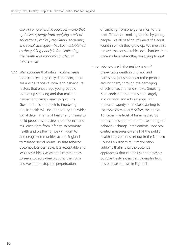*use. A comprehensive approach—one that optimizes synergy from applying a mix of educational, clinical, regulatory, economic, and social strategies—has been established as the guiding principle for eliminating the health and economic burden of tobacco use.*<sup>i</sup>

1.11 We recognise that while nicotine keeps tobacco users physically dependent, there are a wide range of social and behavioural factors that encourage young people to take up smoking and that make it harder for tobacco users to quit. The Government's approach to improving public health will include tackling the wider social determinants of health and it aims to build people's self-esteem, confidence and resilience right from infancy. To promote health and wellbeing, we will work to encourage communities across England to reshape social norms, so that tobacco becomes less desirable, less acceptable and less accessible. We want all communities to see a tobacco-free world as the norm and we aim to stop the perpetuation

of smoking from one generation to the next. To reduce smoking uptake by young people, we all need to influence the adult world in which they grow up. We must also remove the considerable social barriers that smokers face when they are trying to quit.

1.12 Tobacco use is the major cause of preventable death in England and harms not just smokers but the people around them, through the damaging effects of secondhand smoke. Smoking is an addiction that takes hold largely in childhood and adolescence, with the vast majority of smokers starting to use tobacco regularly before the age of 18. Given the level of harm caused by tobacco, it is appropriate to use a range of behaviour change interventions. Tobacco control measures cover all of the public health interventions set out in the Nuffield Council on Bioethics' "intervention ladder", that shows the potential approaches that can be used to promote positive lifestyle changes. Examples from this plan are shown in Figure 1.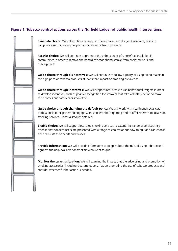# **Figure 1: Tobacco control actions across the Nuffield Ladder of public health interventions**



**Eliminate choice:** We will continue to support the enforcement of age of sale laws, building compliance so that young people cannot access tobacco products.

**Restrict choice:** We will continue to promote the enforcement of smokefree legislation in communities in order to remove the hazard of secondhand smoke from enclosed work and public places.

**Guide choice through disincentives:** We will continue to follow a policy of using tax to maintain the high price of tobacco products at levels that impact on smoking prevalence.

**Guide choice through incentives:** We will support local areas to use behavioural insights in order to develop incentives, such as positive recognition for smokers that take voluntary action to make their homes and family cars smokefree.

**Guide choice through changing the default policy:** We will work with health and social care professionals to help them to engage with smokers about quitting and to offer referrals to local stop smoking services, unless a smoker opts out.

**Enable choice:** We will support local stop smoking services to extend the range of services they offer so that tobacco users are presented with a range of choices about how to quit and can choose one that suits their needs and wishes.

**Provide information:** We will provide information to people about the risks of using tobacco and signpost the help available for smokers who want to quit.

**Monitor the current situation:** We will examine the impact that the advertising and promotion of smoking accessories, including cigarette papers, has on promoting the use of tobacco products and consider whether further action is needed.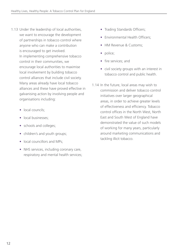- 1.13 Under the leadership of local authorities, we want to encourage the development of partnerships in tobacco control where anyone who can make a contribution is encouraged to get involved. In implementing comprehensive tobacco control in their communities, we encourage local authorities to maximise local involvement by building tobacco control alliances that include civil society. Many areas already have local tobacco alliances and these have proved effective in galvanising action by involving people and organisations including:
	- local councils:
	- local businesses:
	- schools and colleges;
	- children's and youth groups;
	- local councillors and MPs:
	- NHS services, including coronary care, respiratory and mental health services;
- Trading Standards Officers;
- Environmental Health Officers;
- HM Revenue & Customs:
- police;
- fire services: and
- civil society groups with an interest in tobacco control and public health.
- 1.14 In the future, local areas may wish to commission and deliver tobacco control initiatives over larger geographical areas, in order to achieve greater levels of effectiveness and efficiency. Tobacco control offices in the North West, North East and South West of England have demonstrated the value of such models of working for many years, particularly around marketing communications and tackling illicit tobacco.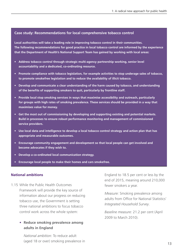### **Case study: Recommendations for local comprehensive tobacco control**

**Local authorities will take a leading role in improving tobacco control in their communities. The following recommendations for good practice in local tobacco control are informed by the experience that the Department of Health's National Support Team has gained by working with local areas:**

- **• Address tobacco control through strategic multi-agency partnership working, senior level accountability and a dedicated, co-ordinating resource.**
- **• Promote compliance with tobacco legislation, for example activities to stop underage sales of tobacco, to promote smokefree legislation and to reduce the availability of illicit tobacco.**
- **• Develop and communicate a clear understanding of the harm caused by tobacco, and understanding of the benefits of supporting smokers to quit, particularly by frontline staff.**
- **• Provide local stop smoking services in ways that maximise accessibility and outreach, particularly for groups with high rates of smoking prevalence. These services should be provided in a way that maximises value for money.**
- **• Get the most out of commissioning by developing and supporting existing and potential markets. Build in processes to ensure robust performance monitoring and management of commissioned service providers.**
- **• Use local data and intelligence to develop a local tobacco control strategy and action plan that has appropriate and measurable outcomes.**
- **• Encourage community engagement and development so that local people can get involved and become advocates if they wish to.**
- **• Develop a co-ordinated local communication strategy.**
- **• Encourage local people to make their homes and cars smokefree.**

### **National ambitions**

- 1.15 While the Public Health Outcomes Framework will provide the key source of information about our progress on reducing tobacco use, the Government is setting three national ambitions to focus tobacco control work across the whole system:
	- **Reduce smoking prevalence among adults in England**

*National ambition:* To reduce adult (aged 18 or over) smoking prevalence in England to 18.5 per cent or less by the end of 2015, meaning around 210,000 fewer smokers a year.

*Measure:* Smoking prevalence among adults from Office for National Statistics' *Integrated Household Survey*.

*Baseline measure:* 21.2 per cent (April 2009 to March 2010).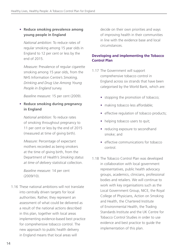# • **Reduce smoking prevalence among young people in England**

*National ambition:* To reduce rates of regular smoking among 15 year olds in England to 12 per cent or less by the end of 2015.

*Measure:* Prevalence of regular cigarette smoking among 15 year olds, from the NHS Information Centre's *Smoking, Drinking and Drug Use Among Young People in England* survey.

*Baseline measure:* 15 per cent (2009).

# • **Reduce smoking during pregnancy in England**

*National ambition:* To reduce rates of smoking throughout pregnancy to 11 per cent or less by the end of 2015 (measured at time of giving birth).

*Measure:* Percentage of expectant mothers recorded as being smokers at the time of giving birth, from the Department of Health's *Smoking status at time of delivery* statistical collection.

*Baseline measure:* 14 per cent (2009/10).

1.16 These national ambitions will not translate into centrally driven targets for local authorities. Rather, they represent an assessment of what could be delivered as a result of the national actions described in this plan, together with local areas implementing evidence-based best practice for comprehensive tobacco control. The new approach to public health delivery in England means that local areas will

decide on their own priorities and ways of improving health in their communities in line with the evidence base and local circumstances.

# **Developing and implementing the Tobacco Control Plan**

- 1.17 The Government will support comprehensive tobacco control in England across six strands that have been categorised by the World Bank, which are:
	- stopping the promotion of tobacco;
	- making tobacco less affordable;
	- effective regulation of tobacco products;
	- helping tobacco users to quit;
	- reducing exposure to secondhand smoke; and
	- effective communications for tobacco control.
- 1.18 The Tobacco Control Plan was developed in collaboration with local government representatives, public health advocacy groups, academics, clinicians, professional bodies and retailers. We will continue to work with key organisations such as the Local Government Group, NICE, the Royal College of Physicians, Action on Smoking and Health, the Chartered Institute of Environmental Health, the Trading Standards Institute and the UK Centre for Tobacco Control Studies in order to use evidence and best practice to guide the implementation of this plan.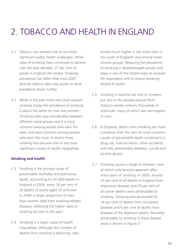# 2. Tobacco and health in England

- 2.1 Tobacco use remains one of our most significant public health challenges. While rates of smoking have continued to decline over the past decades, 21 per cent of adults in England still smoke. Smoking prevalence has fallen little since 2007 and we need to take new action to drive prevalence down further.
- 2.2 While in the past more men than women smoked, today the prevalence of smoking is about the same for men and women.<sup>ii</sup> Smoking rates vary considerably between different social groups and it is most common among people who earn the least, and least common among people who earn the most. In recent times, smoking has become one of the most significant causes of health inequalities.

### **Smoking and health**

- 2.3 Smoking is the primary cause of preventable morbidity and premature death, accounting for 81,400 deaths in England in 2009, some 18 per cent of all deaths of adults aged 35 and over.<sup>ii</sup> In 2009, a larger proportion of men than women died from smoking-related diseases, reflecting the higher rates of smoking by men in the past.<sup>ii</sup>
- 2.4 Smoking is a major cause of health inequalities. Although the number of deaths from smoking is declining, rates

remain much higher in the north than in the south of England<sup>iii</sup> and among lower income groups. Reducing the prevalence of smoking in disadvantaged groups and areas is one of the fastest ways to increase life expectancy and to reduce smokingrelated ill health.

- 2.5 Smoking is harmful not only to smokers but also to the people around them. Tobacco smoke contains thousands of chemicals, many of which are carcinogenic or toxic.
- 2.6 In England, deaths from smoking are more numerous than the next six most common causes of preventable death combined (i.e. drug use, road accidents, other accidents and falls, preventable diabetes, suicide and alcohol abuse).
- 2.7 Smoking causes a range of illnesses, most of which only become apparent after many years of smoking. In 2009, around 35 per cent of all deaths in England from respiratory diseases and 29 per cent of all cancer deaths were attributable to smoking. Smoking also accounted for 14 per cent of deaths from circulatory diseases and 6 per cent of deaths from diseases of the digestive system. Mortality attributable to smoking in these disease areas is shown in Figure 2.ii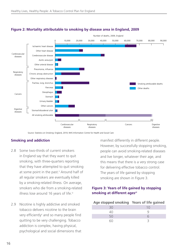

### **Figure 2: Mortality attributable to smoking by disease area in England, 2009**

Source: Statistics on Smoking: England, 2010; NHS Information Centre for Health and Social Care

# **Smoking and addiction**

- 2.8 Some two-thirds of current smokers in England say that they want to quit smoking, with three-quarters reporting that they have attempted to quit smoking at some point in the past.<sup>ii</sup> Around half of all regular smokers are eventually killed by a smoking-related illness. On average, smokers who die from a smoking-related illness lose around 16 years of life.<sup>iv</sup>
- 2.9 Nicotine is highly addictive and smoked tobacco delivers nicotine to the brain very efficiently<sup>®</sup> and so many people find quitting to be very challenging. Tobacco addiction is complex, having physical, psychological and social dimensions that

manifest differently in different people. However, by successfully stopping smoking, people can avoid smoking-related diseases and live longer, whatever their age, and this means that there is a very strong case for delivering effective tobacco control. The years of life gained by stopping smoking are shown in Figure 3.

# **Figure 3: Years of life gained by stopping**  smoking at different ages<sup>vi</sup>

| Age stopped smoking Years of life gained |     |
|------------------------------------------|-----|
| 30                                       | 1() |
| 40                                       |     |
| 50                                       |     |
|                                          |     |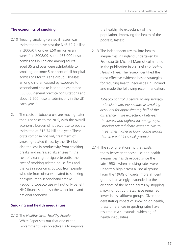# **The economics of smoking**

- 2.10 Treating smoking-related illnesses was estimated to have cost the NHS £2.7 billion in 2006/07, or over £50 million every week.vii In 2008/09, some 463,000 hospital admissions in England among adults aged 35 and over were attributable to smoking, or some 5 per cent of all hospital admissions for this age group.<sup>ii</sup> Illnesses among children caused by exposure to secondhand smoke lead to an estimated 300,000 general practice consultations and about 9,500 hospital admissions in the UK each year.viii
- 2.11 The costs of tobacco use are much greater than just costs to the NHS, with the overall economic burden of tobacco use to society estimated at £13.74 billion a year. These costs comprise not only treatment of smoking-related illness by the NHS but also the loss in productivity from smoking breaks and increased absenteeism, the cost of cleaning up cigarette butts, the cost of smoking-related house fires and the loss in economic output from people who die from diseases related to smoking or exposure to secondhand smoke.<sup>ix</sup> Reducing tobacco use will not only benefit NHS finances but also the wider local and national economy.

### **Smoking and health inequalities**

2.12 The *Healthy Lives, Healthy People* White Paper sets out that one of the Government's key objectives is to improve the healthy life expectancy of the population, improving the health of the poorest, fastest.

2.13 The independent review into health inequalities in England undertaken by Professor Sir Michael Marmot culminated in the publication in 2010 of *Fair Society, Healthy Lives*. The review identified the most effective evidence-based strategies for reducing health inequalities in England and made the following recommendation:

> *Tobacco control is central to any strategy to tackle health inequalities as smoking accounts for approximately half of the difference in life expectancy between the lowest and highest income groups. Smoking-related death rates are two to three times higher in low-income groups*  than in wealthier social groups.<sup>x</sup>

2.14 The strong relationship that exists today between tobacco use and health inequalities has developed since the late 1950s, when smoking rates were uniformly high across all social groups. From the 1960s onwards, more affluent groups increasingly responded to the evidence of the health harms by stopping smoking, but quit rates have remained lower in less affluent groups. Given the devastating impact of smoking on health, these differences in quitting rates have resulted in a substantial widening of health inequalities.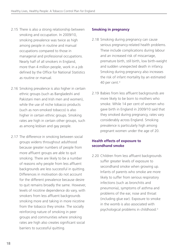- 2.15 There is also a strong relationship between smoking and occupation. In 2009/10, smoking prevalence was twice as high among people in routine and manual occupations compared to those in managerial and professional occupations. Nearly half of all smokers in England, more than 4 million people, work in a job defined by the Office for National Statistics as routine or manual.
- 2.16 Smoking prevalence is also higher in certain ethnic groups (such as Bangladeshi and Pakistani men and Irish men and women), while the use of niche tobacco products (such as non-smoked tobacco) is also higher in certain ethnic groups. Smoking rates are high in certain other groups, such as among lesbian and gay people.
- 2.17 The difference in smoking between social groups widens throughout adulthood because greater numbers of people from more affluent groups are able to quit smoking. There are likely to be a number of reasons why people from less affluent backgrounds are less successful in quitting. Differences in motivation do not account for the different prevalence because desire to quit remains broadly the same. However, levels of nicotine dependence do vary, with smokers from less affluent backgrounds smoking more and taking in more nicotine from the tobacco they smoke. The socially reinforcing nature of smoking in peer groups and communities where smoking rates are high also creates significant social barriers to successful quitting.

# **Smoking in pregnancy**

- 2.18 Smoking during pregnancy can cause serious pregnancy-related health problems. These include complications during labour and an increased risk of miscarriage, premature birth, still birth, low birth-weight and sudden unexpected death in infancy. Smoking during pregnancy also increases the risk of infant mortality by an estimated 40 per cent.xi
- 2.19 Babies from less affluent backgrounds are more likely to be born to mothers who smoke. While 14 per cent of women who gave birth in England in 2009/10 said that they smoked during pregnancy, rates vary considerably across England. Smoking prevalence is particularly high among pregnant women under the age of 20.

# **Health effects of exposure to secondhand smoke**

2.20 Children from less affluent backgrounds suffer greater levels of exposure to secondhand smoke when growing up. Infants of parents who smoke are more likely to suffer from serious respiratory infections (such as bronchitis and pneumonia), symptoms of asthma and problems of the ear, nose and throat (including glue ear). Exposure to smoke in the womb is also associated with psychological problems in childhood.<sup>xi</sup>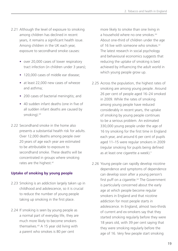- 2.21 Although the level of exposure to smoking among children has declined in recent years, it remains a significant health issue. Among children in the UK each year, exposure to secondhand smoke causes:
	- over 20,000 cases of lower respiratory tract infection (in children under 3 years);
	- 120,000 cases of middle ear disease;
	- at least 22,000 new cases of wheeze and asthma;
	- 200 cases of bacterial meningitis; and
	- 40 sudden infant deaths (one in five of all sudden infant deaths are caused by smoking).<sup>viii</sup>
- 2.22 Secondhand smoke in the home also presents a substantial health risk for adults. Over 12,000 deaths among people over 20 years of age each year are estimated to be attributable to exposure to secondhand smoke. These deaths will be concentrated in groups where smoking rates are the highest.<sup>xii</sup>

# **Uptake of smoking by young people**

- 2.23 Smoking is an addiction largely taken up in childhood and adolescence, so it is crucial to reduce the number of young people taking up smoking in the first place.
- 2.24 If smoking is seen by young people as a normal part of everyday life, they are much more likely to become smokers themselves.<sup>xiii</sup> A 15 year old living with a parent who smokes is 80 per cent

more likely to smoke than one living in a household where no one smokes xiv About one-third of children under the age of 16 live with someone who smokes.<sup>xv</sup> The latest research in social psychology and behavioural economics suggests that reducing the uptake of smoking is best achieved by influencing the adult world in which young people grow up.

- 2.25 Across the population, the highest rates of smoking are among young people. Around 26 per cent of people aged 16–24 smoked in 2009. While the rates of smoking among young people have reduced considerably in recent years, the uptake of smoking by young people continues to be a serious problem. An estimated 330,000 young people under the age of 16 try smoking for the first time in England each year, and around 6 per cent of pupils aged 11–15 were regular smokers in 2009 (regular smoking for pupils being defined as at least one cigarette a week).<sup>ii</sup>
- 2.26 Young people can rapidly develop nicotine dependence and symptoms of dependence can develop soon after a young person's first puff on a cigarette.<sup>xvi</sup> The Government is particularly concerned about the early age at which people become regular smokers in England and that nicotine addiction for most people starts in adolescence. In England, almost two-thirds of current and ex-smokers say that they started smoking regularly before they were 18 years old, with 39 per cent saying that they were smoking regularly before the age of 16. Very few people start smoking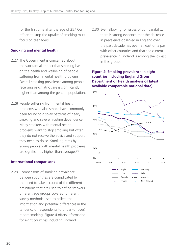for the first time after the age of 25.<sup>ii</sup> Our efforts to stop the uptake of smoking must focus on teenagers.

# **Smoking and mental health**

- 2.27 The Government is concerned about the substantial impact that smoking has on the health and wellbeing of people suffering from mental health problems. Overall smoking prevalence among people receiving psychiatric care is significantly higher than among the general population.
- 2.28 People suffering from mental health problems who also smoke have commonly been found to display patterns of heavy smoking and severe nicotine dependence. Many smokers with mental health problems want to stop smoking but often they do not receive the advice and support they need to do so. Smoking rates by young people with mental health problems are significantly higher than average.<sup>xvii</sup>

# **International comparisons**

2.29 Comparisons of smoking prevalence between countries are complicated by the need to take account of the different definitions that are used to define smokers, different age groups covered, different survey methods used to collect the information and potential differences in the tendency of respondents to under (or over) report smoking. Figure 4 offers information for eight countries including England.

2.30 Even allowing for issues of comparability, there is strong evidence that the decrease in prevalence observed in England over the past decade has been at least on a par with other countries and that the current prevalence in England is among the lowest in this group.

### **Figure 4: Smoking prevalence in eight countries including England (from Department of Health analysis of latest available comparable national data)**

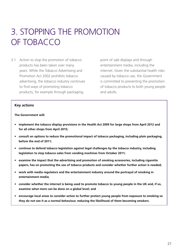# 3. Stopping the promotion of tobacco

3.1 Action to stop the promotion of tobacco products has been taken over many years. While the Tobacco Advertising and Promotion Act 2002 prohibits tobacco advertising, the tobacco industry continues to find ways of promoting tobacco products, for example through packaging,

point of sale displays and through entertainment media, including the internet. Given the substantial health risks caused by tobacco use, the Government is committed to preventing the promotion of tobacco products to both young people and adults.

#### **Key actions**

**The Government will:** 

- **• implement the tobacco display provisions in the Health Act 2009 for large shops from April 2012 and for all other shops from April 2015;**
- **• consult on options to reduce the promotional impact of tobacco packaging, including plain packaging, before the end of 2011;**
- **• continue to defend tobacco legislation against legal challenges by the tobacco industry, including legislation to stop tobacco sales from vending machines from October 2011;**
- **• examine the impact that the advertising and promotion of smoking accessories, including cigarette papers, has on promoting the use of tobacco products and consider whether further action is needed;**
- **• work with media regulators and the entertainment industry around the portrayal of smoking in entertainment media;**
- **• consider whether the internet is being used to promote tobacco to young people in the UK and, if so, examine what more can be done on a global level; and**
- **• encourage local areas to consider action to further protect young people from exposure to smoking so they do not see it as a normal behaviour, reducing the likelihood of them becoming smokers.**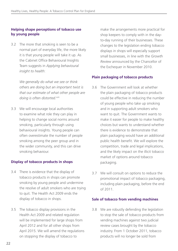# **Helping shape perceptions of tobacco use by young people**

3.2 The more that smoking is seen to be a normal part of everyday life, the more likely it is that young people will take it up. As the Cabinet Office Behavioural Insights Team suggests in *Applying behavioural insight to health*:

> *We generally do what we see or think others are doing but an important twist is that our estimate of what other people are*  doing is often distorted.xviii

3.3 We will encourage local authorities to examine what role they can play in helping to change social norms around smoking, particularly through using behavioural insights. Young people can often overestimate the number of people smoking among the peer group and in the wider community, and this can drive smoking behaviour.

# **Display of tobacco products in shops**

- 3.4 There is evidence that the display of tobacco products in shops can promote smoking by young people and undermine the resolve of adult smokers who are trying to quit. The Health Act 2009 ends the display of tobacco in shops.
- 3.5 The tobacco display provisions in the Health Act 2009 and related regulation will be implemented for large shops from April 2012 and for all other shops from April 2015. We will amend the regulations on stopping the display of tobacco to

make the arrangements more practical for shop keepers to comply with in the dayto-day running of their businesses. These changes to the legislation ending tobacco displays in shops will especially support small businesses, in line with the *Growth Review* announced by the Chancellor of the Exchequer in November 2010.

# **Plain packaging of tobacco products**

- 3.6 The Government will look at whether the plain packaging of tobacco products could be effective in reducing the number of young people who take up smoking and in supporting adult smokers who want to quit. The Government wants to make it easier for people to make healthy choices but wants to understand whether there is evidence to demonstrate that plain packaging would have an additional public health benefit. We will explore the competition, trade and legal implications, and the likely impact on the illicit tobacco market of options around tobacco packaging.
- 3.7 We will consult on options to reduce the promotional impact of tobacco packaging, including plain packaging, before the end of 2011.

# **Sale of tobacco from vending machines**

3.8 We are robustly defending the legislation to stop the sale of tobacco products from vending machines against two judicial review cases brought by the tobacco industry. From 1 October 2011, tobacco products will no longer be sold from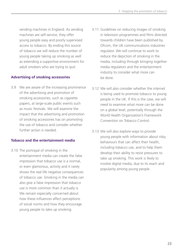vending machines in England. As vending machines are self-service, they offer young people easy and poorly supervised access to tobacco. By ending this source of tobacco we will reduce the number of young people taking up smoking as well as extending a supportive environment for adult smokers who are trying to quit.

# **Advertising of smoking accessories**

3.9 We are aware of the increasing prominence of the advertising and promotion of smoking accessories, such as cigarette papers, at large-scale public events such as music festivals. We will examine the impact that the advertising and promotion of smoking accessories has on promoting the use of tobacco and consider whether further action is needed.

### **Tobacco and the entertainment media**

3.10 The portrayal of smoking in the entertainment media can create the false impression that tobacco use is a normal, or even glamorous, activity and it rarely shows the real life negative consequences of tobacco use. Smoking in the media can also give a false impression that tobacco use is more common than it actually is. We remain especially concerned about how these influences affect perceptions of social norms and how they encourage young people to take up smoking.

- 3.11 Guidelines on reducing images of smoking in television programmes and films directed towards children have been published by Ofcom, the UK communications industries regulator. We will continue to work to reduce the depiction of smoking in the media, including through bringing together media regulators and the entertainment industry to consider what more can be done.
- 3.12 We will also consider whether the internet is being used to promote tobacco to young people in the UK. If this is the case, we will need to examine what more can be done on a global level, potentially through the World Health Organization's Framework Convention on Tobacco Control.
- 3.13 We will also explore ways to provide young people with information about risky behaviours that can affect their health, including tobacco use, and to help them develop their ability to resist pressures to take up smoking. This work is likely to involve digital media, due to its reach and popularity among young people.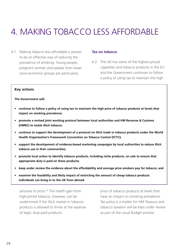# 4. Making tobacco less affordable

4.1 Making tobacco less affordable is proven to be an effective way of reducing the prevalence of smoking. Young people, pregnant women and people from lower socio-economic groups are particularly

#### **Tax on tobacco**

4.2 The UK has some of the highest-priced cigarettes and tobacco products in the EU and the Government continues to follow a policy of using tax to maintain the high

#### **Key actions**

**The Government will:**

- **• continue to follow a policy of using tax to maintain the high price of tobacco products at levels that impact on smoking prevalence;**
- **• promote a revised joint working protocol between local authorities and HM Revenue & Customs (HMRC) to tackle illicit tobacco;**
- **• continue to support the development of a protocol on illicit trade in tobacco products under the World Health Organization's Framework Convention on Tobacco Control (FCTC);**
- **• support the development of evidence-based marketing campaigns by local authorities to reduce illicit tobacco use in their communities;**
- **• promote local action to identify tobacco products, including niche products, on sale to ensure that appropriate duty is paid on these products;**
- **• keep under review the evidence about the affordability and average price smokers pay for tobacco; and**
- **• examine the feasibility and likely impact of restricting the amount of cheap tobacco products individuals can bring in to the UK from abroad.**

sensitive to price.<sup>xix</sup> The health gain from high-priced tobacco, however, can be undermined if the illicit market in tobacco products is allowed to thrive at the expense of legal, duty-paid products.

price of tobacco products at levels that have an impact on smoking prevalence. Tax policy is a matter for HM Treasury and tobacco taxation will be kept under review as part of the usual Budget process.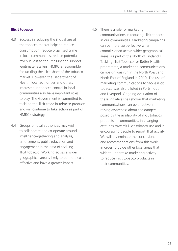# **Illicit tobacco**

- 4.3 Success in reducing the illicit share of the tobacco market helps to reduce consumption, reduce organised crime in local communities, reduce potential revenue loss to the Treasury and support legitimate retailers. HMRC is responsible for tackling the illicit share of the tobacco market. However, the Department of Health, local authorities and others interested in tobacco control in local communities also have important roles to play. The Government is committed to tackling the illicit trade in tobacco products and will continue to take action as part of HMRC's strategy.
- 4.4 Groups of local authorities may wish to collaborate and co-operate around intelligence-gathering and analysis, enforcement, public education and engagement in the area of tackling illicit tobacco. Working across a wider geographical area is likely to be more costeffective and have a greater impact.
- 4.5 There is a role for marketing communications in reducing illicit tobacco in our communities. Marketing campaigns can be more cost-effective when commissioned across wider geographical areas. As part of the North of England's Tackling Illicit Tobacco for Better Health programme, a marketing communications campaign was run in the North West and North East of England in 2010. The use of marketing communications to tackle illicit tobacco was also piloted in Portsmouth and Liverpool. Ongoing evaluation of these initiatives has shown that marketing communications can be effective in raising awareness about the dangers posed by the availability of illicit tobacco products in communities, in changing attitudes towards illicit tobacco use and in encouraging people to report illicit activity. We will disseminate the conclusions and recommendations from this work in order to guide other local areas that wish to undertake marketing activity to reduce illicit tobacco products in

their communities.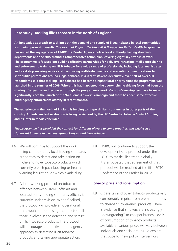### **Case study: Tackling illicit tobacco in the north of England**

**An innovative approach to tackling both the demand and supply of illegal tobacco in local communities is showing promising results. The** *North of England Tackling Illicit Tobacco for Better Health Programme* **has united the key agencies of HMRC, UK Border Agency, police, local authority trading standards departments and the NHS around a comprehensive action plan, covering eight key strands of work. The programme is focused on: building effective partnerships for delivery; increasing intelligence sharing and enforcement; training on illicit tobacco for a wide range of professionals, including local magistrates and local stop smoking service staff; and using well-tested media and marketing communications to shift public perceptions around illegal tobacco. In a recent stakeholder survey, over half of over 500 respondents said that tackling illicit tobacco had become a higher local priority since the programme was launched in the summer of 2009. Where this had happened, the overwhelming driving force had been the sharing of expertise and resources through the programme's work. Calls to Crimestoppers have increased significantly since the launch of the 'Get Some Answers' campaign and there has been some effective multi-agency enforcement activity in recent months.** 

**The experience in the north of England is helping to shape similar programmes in other parts of the country. An independent evaluation is being carried out by the UK Centre for Tobacco Control Studies, and its interim report concluded:** 

*The programme has provided the context for different players to come together, and catalysed a significant increase in partnership-working around illicit tobacco.*

- 4.6 We will continue to support the work being carried out by local trading standards authorities to detect and take action on niche and novel tobacco products which currently breach pack labelling or health warning legislation, or which evade duty.
- 4.7 A joint working protocol on tobacco offences between HMRC officials and local authority trading standards officers is currently under revision. When finalised, the protocol will provide an operational framework for optimising the efforts of all those involved in the detection and seizure of illicit tobacco products. The protocol will encourage an effective, multi-agency approach to detecting illicit tobacco products and taking appropriate action.
- 4.8 HMRC will continue to support the development of a protocol under the FCTC to tackle illicit trade globally. It is anticipated that agreement of that protocol will be reached at the fifth FCTC Conference of the Parties in 2012.

#### **Tobacco price and consumption**

4.9 Cigarettes and other tobacco products vary considerably in price from premium brands to cheaper "lower-end" products. There is evidence that smokers are increasingly "downgrading" to cheaper brands. Levels of consumption of tobacco products available at various prices will vary between individuals and social groups. To explore the scope for new policy interventions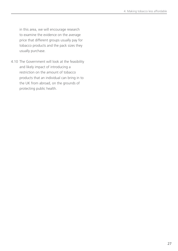in this area, we will encourage research to examine the evidence on the average price that different groups usually pay for tobacco products and the pack sizes they usually purchase.

4.10 The Government will look at the feasibility and likely impact of introducing a restriction on the amount of tobacco products that an individual can bring in to the UK from abroad, on the grounds of protecting public health.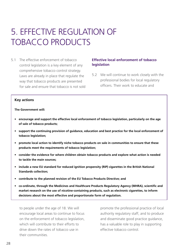# 5. Effective regulation of TOBACCO PRODUCTS

5.1 The effective enforcement of tobacco control legislation is a key element of any comprehensive tobacco control strategy. Laws are already in place that regulate the way that tobacco products are presented for sale and ensure that tobacco is not sold

### **Effective local enforcement of tobacco legislation**

5.2 We will continue to work closely with the professional bodies for local regulatory officers. Their work to educate and

#### **Key actions**

**The Government will:**

- **• encourage and support the effective local enforcement of tobacco legislation, particularly on the age of sale of tobacco products;**
- **• support the continuing provision of guidance, education and best practice for the local enforcement of tobacco legislation;**
- **• promote local action to identify niche tobacco products on sale in communities to ensure that these products meet the requirements of tobacco legislation;**
- **• consider the evidence for where children obtain tobacco products and explore what action is needed to tackle the main sources;**
- **• include a new EU standard for reduced ignition propensity (RIP) cigarettes in the British National Standards collection;**
- **• contribute to the planned revision of the EU Tobacco Products Directive; and**
- **• co-ordinate, through the Medicines and Healthcare Products Regulatory Agency (MHRA), scientific and market research on the use of nicotine-containing products, such as electronic cigarettes, to inform decisions about the most effective and proportionate form of regulation.**

to people under the age of 18. We will encourage local areas to continue to focus on the enforcement of tobacco legislation, which will contribute to their efforts to drive down the rates of tobacco use in their communities.

promote the professional practice of local authority regulatory staff, and to produce and disseminate good practice guidance, has a valuable role to play in supporting effective tobacco control.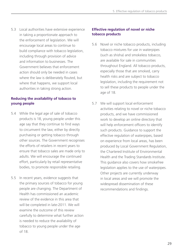5.3 Local authorities have extensive experience in taking a proportionate approach to the enforcement of legislation. We will encourage local areas to continue to build compliance with tobacco legislation, including through provision of advice and information to businesses. The Government believes that enforcement action should only be needed in cases where the law is deliberately flouted, but where that happens, we support local authorities in taking strong action.

# **Reducing the availability of tobacco to young people**

- 5.4 While the legal age of sale of tobacco products is 18, young people under this age say that they continue to find ways to circumvent the law, either by directly purchasing or getting tobacco through other sources. The Government recognises the efforts of retailers in recent years to ensure that tobacco sales are made only to adults. We will encourage the continued effort, particularly by retail representative bodies, to promote responsible retailing.
- 5.5 In recent years, evidence suggests that the primary sources of tobacco for young people are changing. The Department of Health has commissioned an academic review of the evidence in this area that will be completed in late-2011. We will examine the outcome of this review carefully to determine what further action is needed to reduce the availability of tobacco to young people under the age of 18.

# **Effective regulation of novel or niche tobacco products**

- 5.6 Novel or niche tobacco products, including tobacco mixtures for use in waterpipes (such as shisha) and smokeless tobacco, are available for sale in communities throughout England. All tobacco products, especially those that are smoked, carry health risks and are subject to tobacco legislation, including the requirement not to sell these products to people under the age of 18.
- 5.7 We will support local enforcement activities relating to novel or niche tobacco products, and we have commissioned work to develop an online directory that will help enforcement officers to identify such products. Guidance to support the effective regulation of waterpipes, based on experience from local areas, has been produced by Local Government Regulation, the Chartered Institute of Environmental Health and the Trading Standards Institute. This guidance also covers how smokefree legislation applies to the use of waterpipes. Other projects are currently underway in local areas and we will promote the widespread dissemination of these recommendations and findings.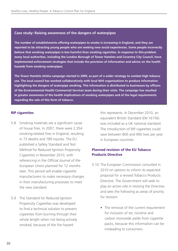### **Case study: Raising awareness of the dangers of waterpipes**

**The number of establishments offering waterpipes to smoke is increasing in England, and they are reported to be attracting young people who are seeking new social experiences. Some people incorrectly believe that smoking waterpipes is less harmful than smoking cigarettes. In response to this problem many local authorities, including the London Borough of Tower Hamlets and Coventry City Council, have implemented enforcement strategies that include the provision of information and advice on the health hazards from smoking waterpipes.** 

**The Tower Hamlets shisha campaign started in 2009, as part of a wider strategy to combat high tobacco use. The local council has worked collaboratively with local NHS organisations to produce information highlighting the dangers of waterpipe smoking. This information is distributed to businesses by officers of the Environmental Health Commercial Services team during their visits. The campaign has resulted in greater awareness of the health implications of smoking waterpipes and of the legal requirements regarding the sale of this form of tobacco.**

### **RIP cigarettes**

- 5.8 Smoking materials are a significant cause of house fires. In 2007, there were 2,354 smoking-related fires in England, resulting in 73 deaths and 789 injuries. The EU published a Safety Standard and Test Method for Reduced Ignition Propensity Cigarettes in November 2010, with referencing in the *Official Journal of the European Union* planned for 12 months later. This period will enable cigarette manufacturers to make necessary changes in their manufacturing processes to meet the new standard.
- 5.9 The Standard for Reduced Ignition Propensity Cigarettes was developed to find a technical solution to prevent cigarettes from burning through their whole length when not being actively smoked, because of the fire hazard

this represents. In December 2010, an equivalent British Standard (EN 16156) was included as a UK national standard. The introduction of RIP cigarettes could save between 800 and 900 lives per year in European countries.

# **Planned revision of the EU Tobacco Products Directive**

- 5.10 The European Commission consulted in 2010 on options to inform its expected proposal for a revised Tobacco Products Directive. The Government will seek to play an active role in revising the Directive, and sees the following as areas of priority for revision:
	- The removal of the current requirement for inclusion of tar, nicotine and carbon monoxide yields from cigarette packs, because this information can be misleading to consumers.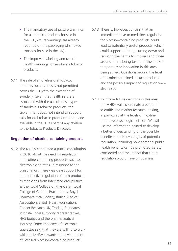- The mandatory use of picture warnings for all tobacco products for sale in the EU (picture warnings are already required on the packaging of smoked tobacco for sale in the UK).
- The improved labelling and use of health warnings for smokeless tobacco products.
- 5.11 The sale of smokeless oral tobacco products such as snus is not permitted across the EU (with the exception of Sweden). Given that health risks are associated with the use of these types of smokeless tobacco products, the Government does not intend to support calls for oral tobacco products to be made available in the EU as part of any revision to the Tobacco Products Directive.

# **Regulation of nicotine-containing products**

5.12 The MHRA conducted a public consultation in 2010 about the need for regulation of nicotine-containing products, such as electronic cigarettes. In response to the consultation, there was clear support for more effective regulation of such products as medicines from interested groups such as the Royal College of Physicians, Royal College of General Practitioners, Royal Pharmaceutical Society, British Medical Association, British Heart Foundation, Cancer Research UK, Trading Standards Institute, local authority representatives, NHS bodies and the pharmaceutical industry. Some importers of electronic cigarettes said that they are willing to work with the MHRA towards the development of licensed nicotine-containing products.

- 5.13 There is, however, concern that an immediate move to medicines regulation for nicotine-containing products could lead to potentially useful products, which could support quitting, cutting down and reducing the harms to smokers and those around them, being taken off the market temporarily or innovation in this area being stifled. Questions around the level of nicotine contained in such products and the possible impact of regulation were also raised.
- 5.14 To inform future decisions in this area, the MHRA will co-ordinate a period of scientific and market research looking, in particular, at the levels of nicotine that have physiological effects. We will use the information gained to develop a better understanding of the possible benefits and disadvantages of potential regulation, including how potential public health benefits can be promoted, safety considered and the impact that future regulation would have on business.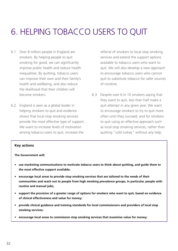# 6. Helping tobacco users to quit

- 6.1 Over 8 million people in England are smokers. By helping people to quit smoking for good, we can significantly improve public health and reduce health inequalities. By quitting, tobacco users can improve their own and their family's health and wellbeing, and also reduce the likelihood that their children will become smokers.
- 6.2 England is seen as a global leader in helping smokers to quit and evidence shows that local stop smoking services provide the most effective type of support. We want to increase levels of motivation among tobacco users to quit, increase the

referral of smokers to local stop smoking services and extend the support options available to tobacco users who want to quit. We will also develop a new approach to encourage tobacco users who cannot quit to substitute tobacco for safer sources of nicotine.

6.3 Despite over 6 in 10 smokers saying that they want to quit, less than half make a quit attempt in any given year. We want to encourage smokers to try to quit more often until they succeed, and for smokers to quit using an effective approach such as local stop smoking services, rather than quitting "cold turkey" without any help.

#### **Key actions**

#### **The Government will:**

- **• use marketing communications to motivate tobacco users to think about quitting, and guide them to the most effective support available;**
- **• encourage local areas to provide stop smoking services that are tailored to the needs of their communities and reach out to people from high smoking prevalence groups, in particular, people with routine and manual jobs;**
- **• support the provision of a greater range of options for smokers who want to quit, based on evidence of clinical effectiveness and value for money;**
- **• provide clinical guidance and training standards for local commissioners and providers of local stop smoking services;**
- **• encourage local areas to commission stop smoking services that maximise value for money;**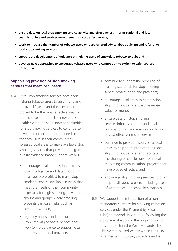- **• ensure data on local stop smoking service activity and effectiveness informs national and local commissioning and enables measurement of cost effectiveness;**
- **• work to increase the number of tobacco users who are offered advice about quitting and referral to local stop smoking services;**
- **• support the development of guidance on helping users of smokeless tobacco to quit; and**
- **• develop new approaches to encourage tobacco users who cannot quit to switch to safer sources of nicotine.**

# **Supporting provision of stop smoking services that meet local needs**

- 6.4 Local stop smoking services have been helping tobacco users to quit in England for over 10 years and the services are proved to be the most effective way for tobacco users to quit. The new public health system presents new opportunities for stop smoking services to continue to develop in order to meet the needs of tobacco users in their communities. To assist local areas to make available stop smoking services that provide the highest quality evidence-based support, we will:
	- encourage local commissioners to use local intelligence and data (including local tobacco profiles) to make stop smoking services available in ways that meet the needs of their community, especially for high smoking-prevalence groups and groups where smoking presents particular risks, such as pregnant women;
	- • regularly publish updated *Local Stop Smoking Services: Service and monitoring guidance* to support local commissioners and providers;
- continue to support the provision of training standards for stop smoking service professionals and providers;
- encourage local areas to commission stop smoking services that maximise value for money;
- ensure data on stop smoking services informs national and local commissioning, and enable monitoring of cost-effectiveness of services;
- continue to provide resources to local areas to help them promote their local stop smoking services and facilitate the sharing of conclusions from local marketing communications projects that have proved effective; and
- encourage stop smoking services to offer help to all tobacco users, including users of waterpipes and smokeless tobacco.
- 6.5 We support the introduction of a nonmandatory currency for smoking cessation services under the Payment by Results (PbR) framework in 2011/12, following the positive evaluation of the ongoing pilot of this approach in the West Midlands. The PbR system is used widely within the NHS as a mechanism to pay providers and is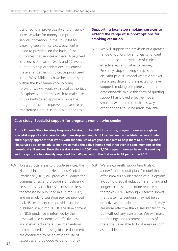designed to improve quality and efficiency, increase value for money and promote service innovation. In the PbR pilot for smoking cessation services, payment is made to providers on the basis of the outcomes that services achieve. A payment is received for each 4-week and 12-week quitter. To help organisations implement these arrangements, indicative prices used in the West Midlands have been published within the PbR framework. Moving forward, we will work with local authorities to explore whether they wish to make use of this tariff-based approach, once the budget for health improvement services is transferred from PCTs to local authorities.

# **Supporting local stop smoking services to extend the range of support options for smoking cessation**

6.7 We will support the provision of a greater range of options for smokers who want to quit, based on evidence of clinical effectiveness and value for money. Presently, stop smoking services operate an "abrupt quit" model where a smoker sets a quit date and is expected to have stopped smoking completely from that date onwards. While this form of quitting support has proved effective, not all smokers want, or can, quit this way and other options could be made available.

#### **Case study: Specialist support for pregnant women who smoke**

**At the Phoenix Stop Smoking Pregnancy Service, run by NHS Lincolnshire, pregnant women are given specialist support and advice to help them stop smoking. NHS Lincolnshire has facilitated a co-ordinated, multi-agency approach that works with the families of pregnant smokers to help them to quit together. The service also offers advice on how to make the baby's home smokefree even if some members of the household still smoke. Since the service started in 2005, over 3,500 pregnant women have quit smoking and the quit rate has steadily improved from 40 per cent in the first year to 62 per cent in 2010.** 

- 6.6 To assist local areas to provide services, the National Institute for Health and Clinical Excellence (NICE) will produce guidance for commissioners and providers on delivering cessation services for users of smokeless tobacco (to be published in autumn 2012) and on smoking cessation services provided by NHS secondary care providers (to be published in autumn 2013). The development of NICE guidance is informed by the best available evidence of effectiveness and cost-effectiveness. The interventions recommended in these guidance documents are considered to be an efficient use of resources and be good value for money.
- 6.8 We are currently supporting trials of a new "tailored quit plans" model that offer smokers a wider range of quit options, including gradual reduction in smoking and longer-term use of nicotine replacement therapies (NRT). Although research shows that these interventions may not be as effective as the "abrupt quit" model, they are more effective than a smoker trying to quit without any assistance. We will make the findings and recommendations of these trials available to local areas as soon as possible.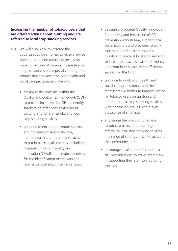### **Increasing the number of tobacco users that are offered advice about quitting and are referred to local stop smoking services**

- 6.9 We will also work to increase the opportunities for smokers to receive advice about quitting and referral to local stop smoking services. Advice can come from a range of sources but especially through the contact that smokers have with health and social care professionals. We will:
	- maximise the potential within the Quality and Outcomes Framework (QOF) to provide incentives for GPs to identify smokers, to offer brief advice about quitting and to refer smokers to local stop smoking services;
	- continue to encourage commissioners and providers of secondary care, mental health and maternity services to put in place local schemes, including Commissioning for Quality and Innovation (CQUIN), to create incentives for the identification of smokers and referral to local stop smoking services;
- through a proposed Quality, Innovation, Productivity and Prevention (QIPP) prevention workstream, support local commissioners and providers to work together in order to improve the quality and reach of local stop smoking services that maximise value for money and contribute to achieving efficiency savings for the NHS;
- continue to work with health and social care professionals and their representative bodies to improve advice for tobacco users on quitting and referral to local stop smoking services, with a focus on groups with a high prevalence of smoking;
- encourage the provision of advice to tobacco users about quitting and referral to local stop smoking services in a range of settings in workplaces and the community; and
- encourage local authorities and local NHS organisations to act as exemplars in supporting their staff to stop using tobacco.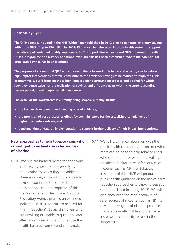### **Case study: QIPP**

**The QIPP agenda, included in the NHS White Paper published in 2010, aims to generate efficiency savings within the NHS of up to £20 billion by 2014/15 that will be reinvested into the health system to support the delivery of continued quality improvements. To support clinical teams and NHS organisations with QIPP, a programme of a number of national workstreams has been established, where the potential for large-scale savings has been identified.** 

**The proposals for a national QIPP workstream, initially focused on tobacco and alcohol, aim to deliver high-impact interventions that will contribute to the efficiency savings to be realised through the QIPP programme. We will focus on those high-impact actions surrounding tobacco and alcohol for which strong evidence exists for the realisation of savings and efficiency gains within the current spending review period, drawing upon existing evidence.** 

**The detail of the workstream is currently being scoped, but may include:** 

- **• the further development and handing over of evidence;**
- **• the provision of best practice briefings for commissioners for the established complement of high-impact interventions; and**
- **• benchmarking of data on implementation to support further delivery of high-impact interventions.**

### **New approaches to help tobacco users who cannot quit to instead use safer sources of nicotine**

- 6.10 Smokers are harmed by the tar and toxins in tobacco smoke, not necessarily by the nicotine to which they are addicted. There is no way of avoiding these deadly toxins if you inhale the smoke from burning tobacco. In recognition of this, the Medicines and Healthcare Products Regulatory Agency granted an extended indication in 2010 for NRT to be used for "harm reduction", to assist smokers who are unwilling or unable to quit, as a safer alternative to smoking and to reduce the health hazards from secondhand smoke.
- 6.11 We will work in collaboration with the public health community to consider what more can be done to help tobacco users who cannot quit, or who are unwilling to, to substitute alternative safer sources of nicotine, such as NRT, for tobacco. In support of this, NICE will produce public health guidance on the use of harm reduction approaches to smoking cessation (to be published in spring 2013). We will also encourage the manufacturers of safer sources of nicotine, such as NRT, to develop new types of nicotine products that are more affordable and that have increased acceptability for use in the longer term.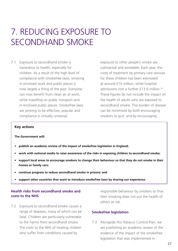# 7. Reducing exposure to secondhand smoke

7.1 Exposure to secondhand smoke is hazardous to health, especially for children. As a result of the high level of compliance with smokefree laws, smoking in enclosed work and public places is now largely a thing of the past. Everyone can now benefit from clean air at work, while travelling on public transport and in enclosed public places. Smokefree laws are proving to be effective, popular and compliance is virtually universal.

exposure to other people's smoke are substantial and avoidable. Each year, the costs of treatment by primary care services for these children has been estimated at around £10 million, while hospital admissions cost a further £13.6 million.<sup>viii</sup> These figures do not include the impact on the health of adults who are exposed to secondhand smoke. This burden of disease can be minimised by both encouraging smokers to quit, and by encouraging

#### **Key actions**

#### **The Government will:**

- **• publish an academic review of the impact of smokefree legislation in England;**
- **• work with national media to raise awareness of the risks in exposing children to secondhand smoke;**
- **• support local areas to encourage smokers to change their behaviour so that they do not smoke in their homes or family cars;**
- **• continue progress to reduce secondhand smoke in prisons; and**
- **• support other countries that want to introduce smokefree laws by sharing our experience.**

# **Health risks from secondhand smoke and costs to the NHS**

7.2 Exposure to secondhand smoke causes a range of diseases, many of which can be fatal. Children are particularly vulnerable to the harms from secondhand smoke. The costs to the NHS of treating children who suffer from conditions caused by

responsible behaviour by smokers so that their smoking does not put the health of others at risk.

#### **Smokefree legislation**

7.3 Alongside this Tobacco Control Plan, we are publishing an academic review of the evidence of the impact of the smokefree legislation that was implemented in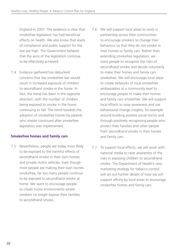England in 2007. The evidence is clear that smokefree legislation has had beneficial effects on health. We also know that levels of compliance and public support for the law are high. The Government believes that the aims of the legislation continue to be effectively achieved.

7.4 Evidence gathered has debunked concerns that the smokefree law would result in increased exposure of children to secondhand smoke in the home. In fact, the trend has been in the opposite direction, with the number of children being exposed to smoke in the home continuing to fall. The trend towards the adoption of smokefree homes by parents who smoke continued after smokefree legislation was implemented.

# **Smokefree homes and family cars**

- 7.5 Nevertheless, people are today most likely to be exposed to the harmful effects of secondhand smoke in their own homes and private motor vehicles. Even though more people are making their own homes smokefree, far too many people continue to be exposed to secondhand smoke at home. We want to encourage people to create home environments where smokers no longer expose their families to secondhand smoke.
- 7.6 We will support local areas to work in partnership across their communities to encourage smokers to change their behaviour so that they do not smoke in their homes or family cars. Rather than extending smokefree legislation, we want people to recognise the risks of secondhand smoke and decide voluntarily to make their homes and family cars smokefree. We will encourage local areas to create networks of local smokefree ambassadors at a community level to encourage people to make their homes and family cars smokefree. We will support local efforts to raise awareness and use behavioural change insights, for example around building positive social norms and through positively recognising people who protect their families and other people from secondhand smoke in their homes and family cars.
- 7.7 To support local efforts, we will work with national media to raise awareness of the risks in exposing children to secondhand smoke. The Department of Health's new marketing strategy for tobacco control will set out further details of how we will support efforts by local areas to encourage smokefree homes and family cars.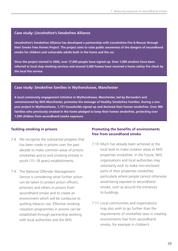#### **Case study: Lincolnshire's Smokefree Alliance**

**Lincolnshire's Smokefree Alliance has developed a partnership with Lincolnshire Fire & Rescue through their Smoke Free Homes Project. The project aims to raise public awareness of the dangers of secondhand smoke for children and vulnerable adults both in the home and the car.** 

**Since the project started in 2004, over 17,000 people have signed up. Over 1,000 smokers have been referred to local stop smoking services and around 5,000 homes have received a home safety fire check by the local fire service.** 

#### **Case study: Smokefree families in Wythenshawe, Manchester**

**A local community engagement initiative in Wythenshawe, Manchester, led by Barnardo's and commissioned by NHS Manchester, promotes the message of Healthy Smokefree Families. During a oneyear project in Wythenshawe, 1,151 households signed up and declared their homes smokefree. Over 400 families who previously smoked in the home pledged to keep their homes smokefree, protecting over 1,500 children from secondhand smoke exposure.**

### **Tackling smoking in prisons**

- 7.8 We recognise the substantial progress that has been made in prisons over the past decade to make common areas of prisons smokefree and to end smoking entirely in youth (15–18 years) establishments.
- 7.9 The National Offender Management Service is considering what further action can be taken to protect prison officers, prisoners and others in prisons from secondhand smoke and to create an environment which will be conducive to quitting tobacco use. Effective smoking cessation programmes in prisons can be established through partnership working with local authorities and the NHS.

# **Promoting the benefits of environments free from secondhand smoke**

- 7.10 Much has already been achieved at the local level to make outdoor areas at NHS properties smokefree. In the future, NHS organisations and local authorities may voluntarily wish to make non-enclosed parts of their properties smokefree, particularly where people cannot otherwise avoid being exposed to secondhand smoke, such as around the entrances to buildings.
- 7.11 Local communities and organisations may also wish to go further than the requirements of smokefree laws in creating environments free from secondhand smoke, for example in children's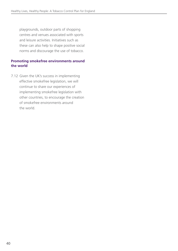playgrounds, outdoor parts of shopping centres and venues associated with sports and leisure activities. Initiatives such as these can also help to shape positive social norms and discourage the use of tobacco.

# **Promoting smokefree environments around the world**

7.12 Given the UK's success in implementing effective smokefree legislation, we will continue to share our experiences of implementing smokefree legislation with other countries, to encourage the creation of smokefree environments around the world.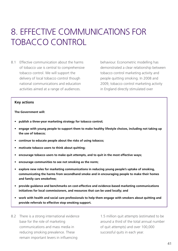# 8. Effective communications for tobacco control

8.1 Effective communication about the harms of tobacco use is central to comprehensive tobacco control. We will support the delivery of local tobacco control though national communications and education activities aimed at a range of audiences.

behaviour. Econometric modelling has demonstrated a clear relationship between tobacco control marketing activity and people quitting smoking. In 2008 and 2009, tobacco control marketing activity in England directly stimulated over

#### **Key actions**

**The Government will:**

- **• publish a three-year marketing strategy for tobacco control;**
- **• engage with young people to support them to make healthy lifestyle choices, including not taking up the use of tobacco;**
- **• continue to educate people about the risks of using tobacco;**
- **• motivate tobacco users to think about quitting;**
- **• encourage tobacco users to make quit attempts, and to quit in the most effective ways;**
- **• encourage communities to see not smoking as the norm;**
- **• explore new roles for marketing communications in reducing young people's uptake of smoking, communicating the harms from secondhand smoke and in encouraging people to make their homes and family cars smokefree;**
- **• provide guidance and benchmarks on cost-effective and evidence-based marketing communications initiatives for local commissioners, and resources that can be used locally; and**
- **• work with health and social care professionals to help them engage with smokers about quitting and provide referrals to effective stop smoking support.**
- 8.2 There is a strong international evidence base for the role of marketing communications and mass media in reducing smoking prevalence. These remain important levers in influencing

1.5 million quit attempts (estimated to be around a third of the total annual number of quit attempts) and over 100,000 successful quits in each year.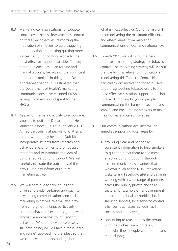- 8.3 Marketing communications for tobacco control over the last few years has centred on three key objectives: reinforcing the motivation of smokers to quit, triggering quitting action and making quitting more successful by signposting people to the most effective support available. The key target audience has been routine and manual workers, because of the significant number of smokers in this group. Over a three-year period, it is estimated that the Department of Health's marketing communications have returned £4.58 in savings for every pound spent to the NHS alone.
- 8.4 As part of marketing activity to encourage smokers to quit, the Department of Health launched a new Quit Kit in January 2010. Aimed particularly at people who attempt to quit without any help, the Quit Kit incorporates insights from research and behavioural economics to prompt quit attempts and to introduce the idea of using effective quitting support. We will carefully evaluate the outcomes of the new Quit Kit to inform our future marketing activity.
- 8.5 We will continue to take an insightdriven and evidence-based approach to developing communications and social marketing initiatives. We will also draw from emerging thinking, particularly around behavioural economics, to develop innovative approaches to influencing behaviour. Where the evidence base is still developing, we will take a "test, learn and refine" approach to trial ideas so that we can develop understanding about

what is most effective. Our emphasis will be on delivering the maximum efficiency and effectiveness from marketing communications at local and national level.

- 8.6 By mid-2011, we will publish a new three-year marketing strategy for tobacco control. The marketing strategy will set out the role for marketing communications in delivering this Tobacco Control Plan, particularly on: motivating tobacco users to quit; signposting tobacco users to the most effective cessation support; reducing uptake of smoking by young people; communicating the harms of secondhand smoke; and encouraging smokers to make their homes and cars smokefree.
- 8.7 Our communications activities will be aimed at supporting local areas by:
	- providing clear and nationally consistent information to help smokers to quit and direct them to the most effective quitting options, through the communications channels that we own (such as the NHS Smokefree website and Facebook site) and through working with a wide range of partners across the public, private and third sectors, for example other government departments, local authorities, local stop smoking services, local tobacco control alliances, businesses, schools, civil society and employers;
	- continuing to reach out to the groups with the highest smoking rates, in particular those people with routine and manual jobs;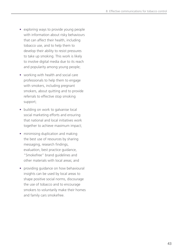- exploring ways to provide young people with information about risky behaviours that can affect their health, including tobacco use, and to help them to develop their ability to resist pressures to take up smoking. This work is likely to involve digital media due to its reach and popularity among young people;
- working with health and social care professionals to help them to engage with smokers, including pregnant smokers, about quitting and to provide referrals to effective stop smoking support;
- building on work to galvanise local social marketing efforts and ensuring that national and local initiatives work together to achieve maximum impact;
- minimising duplication and making the best use of resources by sharing messaging, research findings, evaluation, best practice guidance, "Smokefree" brand guidelines and other materials with local areas; and
- providing quidance on how behavioural insights can be used by local areas to shape positive social norms, discourage the use of tobacco and to encourage smokers to voluntarily make their homes and family cars smokefree.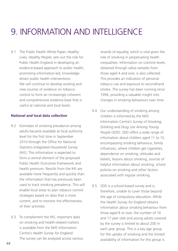# 9. Information and intelligence

9.1 The Public Health White Paper, *Healthy Lives, Healthy People*, sets out the role for Public Health England in developing an evidence-based approach to public health, promoting information-led, knowledgedriven public health interventions. We will continue to develop existing and new sources of evidence on tobacco control to form an increasingly coherent and comprehensive evidence base that is useful at national and local levels.

### **National and local data collection**

- 9.2 Estimates of smoking prevalence among adults became available at local authority level for the first time in September 2010 through the Office for National Statistics *Integrated Household Survey* (IHS). This information is expected to form a central element of the proposed Public Health Outcomes Framework and health premium. Results from the IHS are available more frequently and quickly than the information that has previously been used to track smoking prevalence. This will enable local areas to plan tobacco control strategies based on data that is more current, and to monitor the effectiveness of their activities.
- 9.3 To complement the IHS, important data on smoking and health-related matters is available from the NHS Information Centre's *Health Survey for England*. The survey can be analysed across various

strands of equality, which is vital given the role of smoking in perpetuating health inequalities. Information on cotinine levels, obtained through saliva samples from those aged 4 and over, is also collected. This provides an indication of personal tobacco use and exposure to secondhand smoke. The survey has been running since 1994, providing a valuable insight into changes in smoking behaviours over time.

- 9.4 Our understanding of smoking among children is informed by the NHS Information Centre's *Survey of Smoking, Drinking and Drug Use Among Young People* (SDD). SDD offers a wide range of information about children aged 11 to 15, encompassing smoking behaviour, family influences, where children get cigarettes, dependence on smoking, attitudes and beliefs, lessons about smoking, sources of helpful information about smoking, school policies on smoking and other factors associated with regular smoking.
- 9.5 SDD is a school-based survey and is, therefore, unable to cover those beyond the age of compulsory education. While the *Health Survey for England* obtains information about smoking behaviour from those aged 8 or over, the number of 16 and 17 year olds and young adults covered by the survey is limited to about 200 in each year group. This is a key age group for the uptake of smoking and the limited availability of information for this group is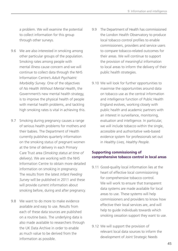a problem. We will examine the potential to collect information for this group through other surveys.

- 9.6 We are also interested in smoking among other particular groups of the population. Smoking rates among people with mental illness cause concern and we will continue to collect data through the NHS Information Centre's *Adult Psychiatric Morbidity Survey*. One of the objectives of *No Health Without Mental Health*, the Government's new mental health strategy, is to improve the physical health of people with mental health problems, and tackling high smoking rates is vital in achieving this.
- 9.7 Smoking during pregnancy causes a range of serious health problems for mothers and their babies. The Department of Health currently publishes quarterly information on the smoking status of pregnant women at the time of delivery in each Primary Care Trust area (*Smoking status at time of delivery*). We are working with the NHS Information Centre to obtain more detailed information on smoking in pregnancy. The results from the latest *Infant Feeding Survey* will be published in 2011 and these will provide current information about smoking before, during and after pregnancy.
- 9.8 We want to do more to make evidence available and easy to use. Results from each of these data sources are published on a routine basis. The underlying data is also made available to researchers through the UK Data Archive in order to enable as much value to be derived from the information as possible.
- 9.9 The Department of Health has commissioned the London Health Observatory to produce local tobacco control profiles to enable commissioners, providers and service users to compare tobacco-related outcomes for their areas. We will continue to support the provision of meaningful information to local areas to inform the delivery of their public health strategies.
- 9.10 We will look for further opportunities to maximise the opportunities around data on tobacco use as the central information and intelligence function of Public Health England evolves, working closely with public health and academic partners with an interest in surveillance, monitoring, evaluation and intelligence. In particular, we will include tobacco within the single, accessible and authoritative web-based evidence system for professionals set out in *Healthy Lives, Healthy People*.

### **Supporting commissioning of comprehensive tobacco control in local areas**

- 9.11 Good-quality local information lies at the heart of effective local commissioning for comprehensive tobacco control. We will work to ensure that transparent data systems are made available for local areas to use. These systems will help commissioners and providers to know how effective their local services are, and will help to guide individuals towards which smoking cessation support they want to use.
- 9.12 We will support the provision of relevant local data sources to inform the development of Joint Strategic Needs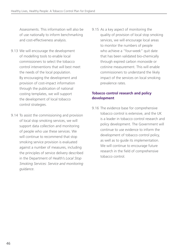Assessments. This information will also be of use nationally to inform benchmarking and cost-effectiveness analysis.

- 9.13 We will encourage the development of modelling tools to enable local commissioners to select the tobacco control interventions that will best meet the needs of the local population. By encouraging the development and provision of cost-impact information through the publication of national costing templates, we will support the development of local tobacco control strategies.
- 9.14 To assist the commissioning and provision of local stop smoking services, we will support data collection and monitoring of people who use these services. We will continue to recommend that stop smoking service provision is evaluated against a number of measures, including the principles of service delivery described in the Department of Health's *Local Stop Smoking Services: Service and monitoring guidance*.

9.15 As a key aspect of monitoring the quality of provision of local stop smoking services, we will encourage local areas to monitor the numbers of people who achieve a "four-week" quit date that has been validated bio-chemically through expired carbon monoxide or cotinine measurement. This will enable commissioners to understand the likely impact of the services on local smoking prevalence rates.

# **Tobacco control research and policy development**

9.16 The evidence base for comprehensive tobacco control is extensive, and the UK is a leader in tobacco control research and policy development. The Government will continue to use evidence to inform the development of tobacco control policy, as well as to guide its implementation. We will continue to encourage future research in the field of comprehensive tobacco control.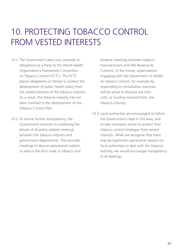# 10. Protecting tobacco control from vested interests

- 10.1 The Government takes very seriously its obligations as a Party to the World Health Organization's Framework Convention on Tobacco Control (FCTC). The FCTC places obligations on Parties to protect the development of public health policy from the vested interests of the tobacco industry. As a result, the tobacco industry has not been involved in the development of this Tobacco Control Plan.
- 10.2 To ensure further transparency, the Government commits to publishing the details of all policy-related meetings between the tobacco industry and government departments. This excludes meetings to discuss operational matters to reduce the illicit trade in tobacco and

bilateral meetings between tobacco manufacturers and HM Revenue & Customs. In the future, organisations engaging with the Department of Health on tobacco control, for example by responding to consultation exercises, will be asked to disclose any links with, or funding received from, the tobacco industry.

10.3 Local authorities are encouraged to follow the Government's lead in this area, and to take necessary action to protect their tobacco control strategies from vested interests. While we recognise that there may be legitimate operational reasons for local authorities to deal with the tobacco industry, we would encourage transparency in all dealings.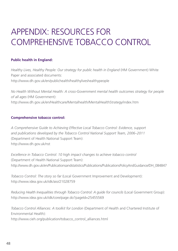# APPENDIX: RESOURCES FOR COMPREHENSIVE TOBACCO CONTROL

# **Public health in England:**

*Healthy Lives, Healthy People: Our strategy for public health in England* (HM Government) White Paper and associated documents: http://www.dh.gov.uk/en/publichealth/healthyliveshealthypeople

*No Health Without Mental Health: A cross-Government mental health outcomes strategy for people of all ages* (HM Government): http://www.dh.gov.uk/en/Healthcare/Mentalhealth/MentalHealthStrategy/index.htm

# **Comprehensive tobacco control:**

*A Comprehensive Guide to Achieving Effective Local Tobacco Control: Evidence, support and publications developed by the Tobacco Control National Support Team, 2006–2011* (Department of Health National Support Team): http://www.dh.gov.uk/nst

*Excellence in Tobacco Control: 10 high impact changes to achieve tobacco control*  (Department of Health National Support Team): http://www.dh.gov.uk/en/Publicationsandstatistics/Publications/PublicationsPolicyAndGuidance/DH\_084847

*Tobacco Control: The story so far* (Local Government Improvement and Development): http://www.idea.gov.uk/idk/aio/21028759

*Reducing Health Inequalities through Tobacco Control: A guide for councils* (Local Government Group): http://www.idea.gov.uk/idk/core/page.do?pageId=25455569

*Tobacco Control Alliances: A toolkit for London* (Department of Health and Chartered Institute of Environmental Health):

http://www.cieh.org/publication/tobacco\_control\_alliances.html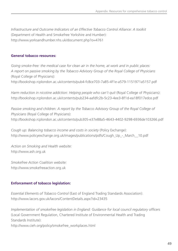*Infrastructure and Outcome Indicators of an Effective Tobacco Control Alliance: A toolkit* (Department of Health and Smokefree Yorkshire and Humber): http://www.yorksandhumber.nhs.uk/document.php?o=4761

### **General tobacco resources:**

*Going smoke-free: the medical case for clean air in the home, at work and in public places: A report on passive smoking by the Tobacco Advisory Group of the Royal College of Physicians* (Royal College of Physicians):

http://bookshop.rcplondon.ac.uk/contents/pub4-fc8ce703-7a85-4f1e-a579-1151971a5157.pdf

*Harm reduction in nicotine addiction: Helping people who can't quit* (Royal College of Physicians): http://bookshop.rcplondon.ac.uk/contents/pub234-aafdfc2b-5c23-4ee3-8f1d-ea18f017edce.pdf

*Passive smoking and children: A report by the Tobacco Advisory Group of the Royal College of Physicians* (Royal College of Physicians): http://bookshop.rcplondon.ac.uk/contents/pub305-e37e88a5-4643-4402-9298-6936de103266.pdf

*Cough up: Balancing tobacco income and costs in society* (Policy Exchange): http://www.policyexchange.org.uk/images/publications/pdfs/Cough\_Up\_-\_March\_\_10.pdf

*Action on Smoking and Health website:* http://www.ash.org.uk

*Smokefree Action Coalition website:* http://www.smokefreeaction.org.uk

# **Enforcement of tobacco legislation:**

*Essential Elements of Tobacco Control* (East of England Trading Standards Association): http://www.lacors.gov.uk/lacors/ContentDetails.aspx?id=23435

*Implementation of smokefree legislation in England: Guidance for local council regulatory officers* (Local Government Regulation, Chartered Institute of Environmental Health and Trading Standards Institute):

http://www.cieh.org/policy/smokefree\_workplaces.html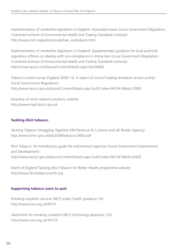*Implementation of smokefree legislation in England: Associated issues* (Local Government Regulation, Chartered Institute of Environmental Health and Trading Standards Institute): http://www.cieh.org/policy/smokefree\_workplaces.html

*Implementation of smokefree legislation in England: Supplementary guidance for local authority regulatory officers on dealing with non-compliance in shisha bars* (Local Government Regulation, Chartered Institute of Environmental Health and Trading Standards Institute): http://www.lacors.com/lacors/ContentDetails.aspx?id=24860

*Tobacco control survey England 2009–10: A report of council trading standards service activity* (Local Government Regulation): http://www.lacors.gov.uk/lacors/ContentDetails.aspx?authCode=34C4416&id=23992

*Directory of niche tobacco products website:* http://www.ntpd.lacors.gov.uk

# **Tackling illicit tobacco:**

*Tackling Tobacco Smuggling Together* (HM Revenue & Customs and UK Border Agency): http://www.hmrc.gov.uk/pbr2008/tobacco-2800.pdf

*Illicit Tobacco: An introductory guide for enforcement agencies* (Local Government Improvement and Development): http://www.lacors.gov.uk/lacors/ContentDetails.aspx?authCode=34C4416&id=23435

*North of England Tackling Illicit Tobacco for Better Health programme website:* http://www.illicittobacconorth.org

# **Supporting tobacco users to quit:**

*Smoking cessation services* (NICE public health guidance 10): http://www.nice.org.uk/PH10

*Varenicline for smoking cessation* (NICE technology appraisal 123): http://www.nice.org.uk/TA123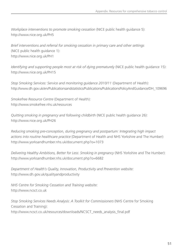*Workplace interventions to promote smoking cessation* (NICE public health guidance 5): http://www.nice.org.uk/PH5

*Brief interventions and referral for smoking cessation in primary care and other settings*  (NICE public health guidance 1): http://www.nice.org.uk/PH1

*Identifying and supporting people most at risk of dying prematurely* (NICE public health guidance 15): http://www.nice.org.uk/PH15

*Stop Smoking Services: Service and monitoring guidance 2010/11* (Department of Health): http://www.dh.gov.uk/en/Publicationsandstatistics/Publications/PublicationsPolicyAndGuidance/DH\_109696

*Smokefree Resource Centre* (Department of Health): http://www.smokefree.nhs.uk/resources

*Quitting smoking in pregnancy and following childbirth* (NICE public health guidance 26): http://www.nice.org.uk/PH26

*Reducing smoking pre-conception, during pregnancy and postpartum: Integrating high impact actions into routine healthcare practice* (Department of Health and NHS Yorkshire and The Humber): http://www.yorksandhumber.nhs.uk/document.php?o=1073

*Delivering Healthy Ambitions, Better for Less: Smoking in pregnancy* (NHS Yorkshire and The Humber): http://www.yorksandhumber.nhs.uk/document.php?o=6682

*Department of Health's Quality, Innovation, Productivity and Prevention website:* http://www.dh.gov.uk/qualityandproductivity

*NHS Centre for Smoking Cessation and Training website:*  http://www.ncsct.co.uk

*Stop Smoking Services Needs Analysis: A Toolkit for Commissioners* (NHS Centre for Smoking Cessation and Training): http://www.ncsct.co.uk/resources/downloads/NCSCT\_needs\_analysis\_final.pdf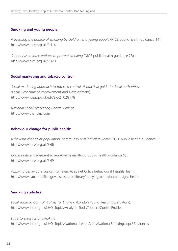# **Smoking and young people:**

*Preventing the uptake of smoking by children and young people* (NICE public health guidance 14): http://www.nice.org.uk/PH14

*School-based interventions to prevent smoking* (NICE public health guidance 23): http://www.nice.org.uk/PH23

# **Social marketing and tobacco control:**

*Social marketing approach to tobacco control: A practical guide for local authorities* (Local Government Improvement and Development): http://www.idea.gov.uk/idk/aio/21028178

*National Social Marketing Centre website:* http://www.thensmc.com

# **Behaviour change for public health:**

*Behaviour change at population, community and individual levels* (NICE public health guidance 6): http://www.nice.org.uk/PH6

*Community engagement to improve health* (NICE public health guidance 9): http://www.nice.org.uk/PH9

*Applying behavioural insight to health* (Cabinet Office Behavioural Insights Team): http://www.cabinetoffice.gov.uk/resource-library/applying-behavioural-insight-health

# **Smoking statistics:**

*Local Tobacco Control Profiles for England* (London Public Health Observatory): http://www.lho.org.uk/LHO\_Topics/Analytic\_Tools/TobaccoControlProfiles

*Links to statistics on smoking:* http://www.lho.org.uk/LHO\_Topics/National\_Lead\_Areas/NationalSmoking.aspx#Resources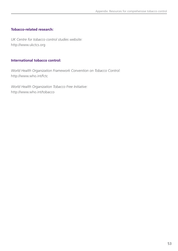# **Tobacco-related research:**

*UK Centre for tobacco control studies website:* http://www.ukctcs.org

# **International tobacco control:**

*World Health Organization Framework Convention on Tobacco Control:* http://www.who.int/fctc

*World Health Organization Tobacco Free Initiative:* http://www.who.int/tobacco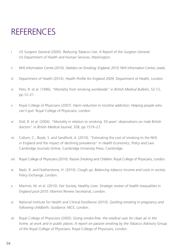# **REFERENCES**

- i US Surgeon General (2000). *Reducing Tobacco Use: A Report of the Surgeon General*. US Department of Health and Human Services, Washington.
- ii NHS Information Centre (2010). *Statistics on Smoking: England, 2010*. NHS Information Centre, Leeds.
- iii Department of Health (2010). *Health Profile for England 2009*. Department of Health, London.
- iv Peto, R. et al. (1996). "Mortality from smoking worldwide" in *British Medical Bulletin*, 52 (1), pp.12–21.
- v Royal College of Physicians (2007). *Harm reduction in nicotine addiction: Helping people who can't quit*. Royal College of Physicians, London.
- vi Doll, R. et al. (2004). "Mortality in relation to smoking: 50 years' observations on male British doctors" in *British Medical Journal*, 328, pp.1519–27.
- vii Callum, C., Boyle, S. and Sandford, A. (2010). "Estimating the cost of smoking to the NHS in England and the impact of declining prevalence" in *Health Economics, Policy and Law*. Cambridge Journals Online, Cambridge University Press, Cambridge.
- viii Royal College of Physicians (2010). *Passive Smoking and Children*. Royal College of Physicians, London.
- ix Nash, R. and Featherstone, H. (2010). *Cough up: Balancing tobacco income and costs in society*. Policy Exchange, London.
- x Marmot, M. et al. (2010). *Fair Society, Healthy Lives: Strategic review of health inequalities in England post-2010*. Marmot Review Secretariat, London.
- xi National Institute for Health and Clinical Excellence (2010). *Quitting smoking in pregnancy and following childbirth: Guidance*. NICE, London.
- xii Royal College of Physicians (2005). *Going smoke-free: the medical case for clean air in the home, at work and in public places: A report on passive smoking by the Tobacco Advisory Group of the Royal College of Physicians*. Royal College of Physicians, London.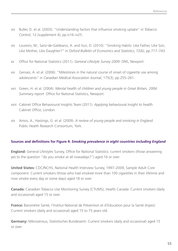- xiii Buller, D. et al. (2003). "Understanding factors that influence smoking uptake" in *Tobacco Control*, 12 (supplement 4), pp.iv16–iv25.
- xiv Loureiro, M., Sanz-de-Galdeano, A. and Vuri, D. (2010). "Smoking Habits: Like Father, Like Son, Like Mother, Like Daughter?" in *Oxford Bulletin of Economics and Statistics*, 72(6), pp.717–743.
- xv Office for National Statistics (2011). *General Lifestyle Survey 2009*. ONS, Newport.
- xvi Gervais, A. et al. (2006). "Milestones in the natural course of onset of cigarette use among adolescents" in *Canadian Medical Association Journal*, 175(3), pp.255–261.
- xvii Green, H. et al. (2004). *Mental health of children and young people in Great Britain, 2004: Summary report*. Office for National Statistics, Newport.
- xviii Cabinet Office Behavioural Insights Team (2011). *Applying behavioural insight to health*. Cabinet Office, London.
- xix Amos, A., Hastings, G. et al. (2009). *A review of young people and smoking in England*. Public Health Research Consortium, York.

### **Sources and definitions for Figure 4:** *Smoking prevalence in eight countries including England*

**England:** General Lifestyles Survey, Office for National Statistics: current smokers (those answering yes to the question "do you smoke at all nowadays?") aged 16 or over.

**United States:** CDC/NCHS, National Health Interview Survey, 1997–2009, Sample Adult Core component: Current smokers (those who had smoked more than 100 cigarettes in their lifetime and now smoke every day or some days) aged 18 or over.

**Canada:** Canadian Tobacco Use Monitoring Survey (CTUMS), Health Canada: Current smokers (daily and occasional) aged 15 or over.

**France:** Baromètre Santé, l'Institut National de Prévention et d'Education pour la Santé (Inpes): Current smokers (daily and occasional) aged 15 to 75 years old.

**Germany:** Mikrozensus, Statistisches Bundesamt: Current smokers (daily and occasional) aged 15 or over.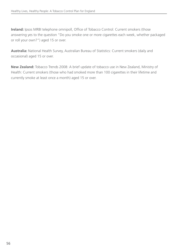**Ireland:** Ipsos MRBI telephone omnipoll, Office of Tobacco Control: Current smokers (those answering yes to the question "Do you smoke one or more cigarettes each week, whether packaged or roll your own?") aged 15 or over.

**Australia:** National Health Survey, Australian Bureau of Statistics: Current smokers (daily and occasional) aged 15 or over.

**New Zealand:** Tobacco Trends 2008: A brief update of tobacco use in New Zealand, Ministry of Health: Current smokers (those who had smoked more than 100 cigarettes in their lifetime and currently smoke at least once a month) aged 15 or over.